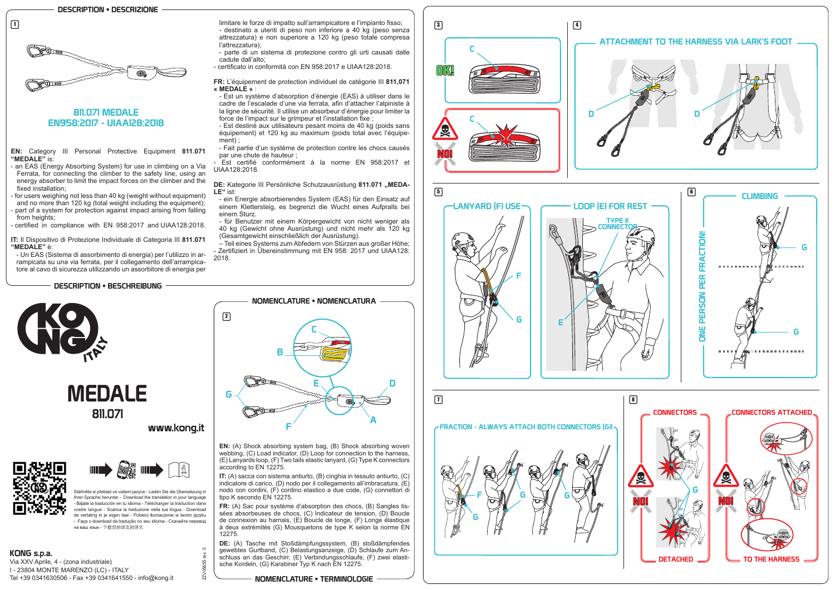**EN:** Category III Personal Protective Equipment **811.071 "MEDALE"** is:

- an EAS (Energy Absorbing System) for use in climbing on a Via Ferrata, for connecting the climber to the safety line, using an energy absorber to limit the impact forces on the climber and the fixed installation;
- for users weighing not less than 40 kg (weight without equipment) and no more than 120 kg (total weight including the equipment); part of a system for protection against impact arising from falling

from heights; - certified in compliance with EN 958:2017 and UIAA128:2018.

**IT:** Il Dispositivo di Protezione Individuale di Categoria III **811.071 "MEDALE"** è:

- Est un système d'absorption d'énergie (EAS) à utiliser dans le cadre de l'escalade d'une via ferrata, afin d'attacher l'alpiniste à la ligne de sécurité. Il utilise un absorbeur d'énergie pour limiter la force de l'impact sur le grimpeur et l'installation fixe ;

- Un EAS (Sistema di assorbimento di energia) per l'utilizzo in arrampicata su una via ferrata, per il collegamento dell'arrampicatore al cavo di sicurezza utilizzando un assorbitore di energia per

limitare le forze di impatto sull'arrampicatore e l'impianto fisso; - destinato a utenti di peso non inferiore a 40 kg (peso senza attrezzatura) e non superiore a 120 kg (peso totale compresa l'attrezzatura);

### **DE:** Kategorie III Persönliche Schutzausrüstung 811.071 "MEDA-**LE"** ist:

- parte di un sistema di protezione contro gli urti causati dalle cadute dall'alto;
- certificato in conformità con EN 958:2017 e UIAA128:2018.

**FR:** L'équipement de protection individuel de catégorie III **811,071 « MEDALE »** :

- Est destiné aux utilisateurs pesant moins de 40 kg (poids sans équipement) et 120 kg au maximum (poids total avec l'équipement) ;

- Fait partie d'un système de protection contre les chocs causés par une chute de hauteur ;

- Est certifié conformément à la norme EN 958:2017 et UIAA128:2018.

- ein Energie absorbierendes System (EAS) für den Einsatz auf einem Klettersteig, es begrenzt die Wucht eines Aufpralls bei einem Sturz.

- für Benutzer mit einem Körpergewicht von nicht weniger als 40 kg (Gewicht ohne Ausrüstung) und nicht mehr als 120 kg (Gesamtgewicht einschließlich der Ausrüstung).

– Teil eines Systems zum Abfedern von Stürzen aus großer Höhe; - Zertifiziert in Übereinstimmung mit EN 958: 2017 und UIAA128: 2018.

# 811.071 MEDALE EN958:2017 - UIAA128:2018

NOMENCLATURE • TERMINOLOGIE

DESCRIPTION • DESCRIZIONE



 $\Box$ 

## DESCRIPTION • BESCHREIBUNG



**EN:** (A) Shock absorbing system bag, (B) Shock absorbing woven webbing, (C) Load indicator, (D) Loop for connection to the harness, (E) Lanyards loop, (F) Two tails elastic lanyard, (G) Type K connectors

**IT:** (A) sacca con sistema antiurto, (B) cinghia in tessuto antiurto, (C) indicatore di carico, (D) nodo per il collegamento all'imbracatura, (E) nodo con cordini, (F) cordino elastico a due code, (G) connettori di

according to EN 12275. tipo K secondo EN 12275.

ZZV056



**FR:** (A) Sac pour système d'absorption des chocs, (B) Sangles tissées absorbeuses de chocs, (C) Indicateur de tension, (D) Boucle de connexion au harnais, (E) Boucle de longe, (F) Longe élastique à deux extrémités (G) Mousquetons de type K selon la norme EN

**DE:** (A) Tasche mit Stoßdämpfungssystem, (B) stoßdämpfendes gewebtes Gurtband, (C) Belastungsanzeige, (D) Schlaufe zum Anschluss an das Geschirr, (E) Verbindungsschlaufe, (F) zwei elastische Kordeln, (G) Karabiner Typ K nach EN 12275.

12275. ZZV05655 rev. 0

KONG s.p.a. Via XXV Aprile, 4 - (zona industriale) I - 23804 MONTE MARENZO (LC) - ITALY Tel +39 0341630506 - Fax +39 0341641550 - info@kong.it



# www.kong.it





Stáhněte si překlad ve vašem jazyce - Laden Sie die Übersetzung in hrer Sprache herunter - Download the translation in your language Bájate la traducción en tu idioma - Télécharger la traduction dans vostre langue - Scarica la traduzione nella tua lingua - Download de vertaling in je eigen taal - Pobierz tłumaczenie w twoim języku - Faça o download da tradução no seu idioma - Скачайте перевод на ваш язык - 下载您的语言的译文